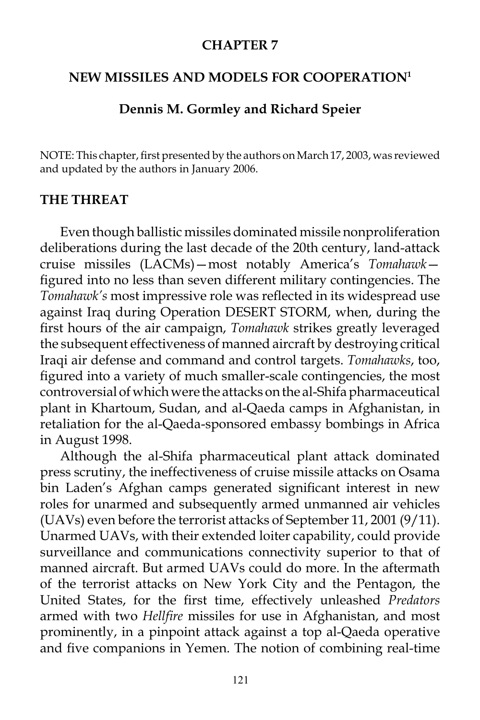### **CHAPTER 7**

### **NEW MISSILES AND MODELS FOR COOPERATION1**

### **Dennis M. Gormley and Richard Speier**

NOTE: This chapter, first presented by the authors on March 17, 2003, was reviewed and updated by the authors in January 2006.

### **THE THREAT**

Even though ballistic missiles dominated missile nonproliferation deliberations during the last decade of the 20th century, land-attack cruise missiles (LACMs)—most notably America's *Tomahawk* figured into no less than seven different military contingencies. The *Tomahawk's* most impressive role was reflected in its widespread use against Iraq during Operation DESERT STORM, when, during the first hours of the air campaign, *Tomahawk* strikes greatly leveraged the subsequent effectiveness of manned aircraft by destroying critical Iraqi air defense and command and control targets. *Tomahawks*, too, figured into a variety of much smaller-scale contingencies, the most controversial of which were the attacks on the al-Shifa pharmaceutical plant in Khartoum, Sudan, and al-Qaeda camps in Afghanistan, in retaliation for the al-Qaeda-sponsored embassy bombings in Africa in August 1998.

Although the al-Shifa pharmaceutical plant attack dominated press scrutiny, the ineffectiveness of cruise missile attacks on Osama bin Laden's Afghan camps generated significant interest in new roles for unarmed and subsequently armed unmanned air vehicles (UAVs) even before the terrorist attacks of September 11, 2001 (9/11). Unarmed UAVs, with their extended loiter capability, could provide surveillance and communications connectivity superior to that of manned aircraft. But armed UAVs could do more. In the aftermath of the terrorist attacks on New York City and the Pentagon, the United States, for the first time, effectively unleashed *Predators* armed with two *Hellfire* missiles for use in Afghanistan, and most prominently, in a pinpoint attack against a top al-Qaeda operative and five companions in Yemen. The notion of combining real-time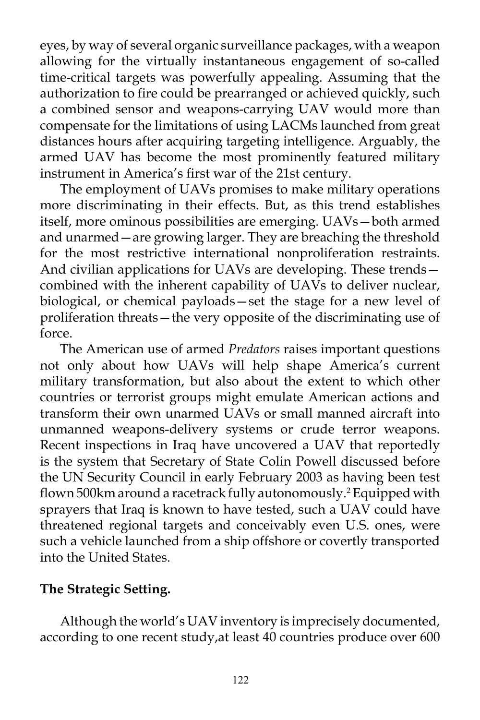eyes, by way of several organic surveillance packages, with a weapon allowing for the virtually instantaneous engagement of so-called time-critical targets was powerfully appealing. Assuming that the authorization to fire could be prearranged or achieved quickly, such a combined sensor and weapons-carrying UAV would more than compensate for the limitations of using LACMs launched from great distances hours after acquiring targeting intelligence. Arguably, the armed UAV has become the most prominently featured military instrument in America's first war of the 21st century.

The employment of UAVs promises to make military operations more discriminating in their effects. But, as this trend establishes itself, more ominous possibilities are emerging. UAVs—both armed and unarmed—are growing larger. They are breaching the threshold for the most restrictive international nonproliferation restraints. And civilian applications for UAVs are developing. These trends combined with the inherent capability of UAVs to deliver nuclear, biological, or chemical payloads—set the stage for a new level of proliferation threats—the very opposite of the discriminating use of force.

The American use of armed *Predators* raises important questions not only about how UAVs will help shape America's current military transformation, but also about the extent to which other countries or terrorist groups might emulate American actions and transform their own unarmed UAVs or small manned aircraft into unmanned weapons-delivery systems or crude terror weapons. Recent inspections in Iraq have uncovered a UAV that reportedly is the system that Secretary of State Colin Powell discussed before the UN Security Council in early February 2003 as having been test flown 500km around a racetrack fully autonomously.2 Equipped with sprayers that Iraq is known to have tested, such a UAV could have threatened regional targets and conceivably even U.S. ones, were such a vehicle launched from a ship offshore or covertly transported into the United States.

# **The Strategic Setting.**

Although the world's UAV inventory is imprecisely documented, according to one recent study,at least 40 countries produce over 600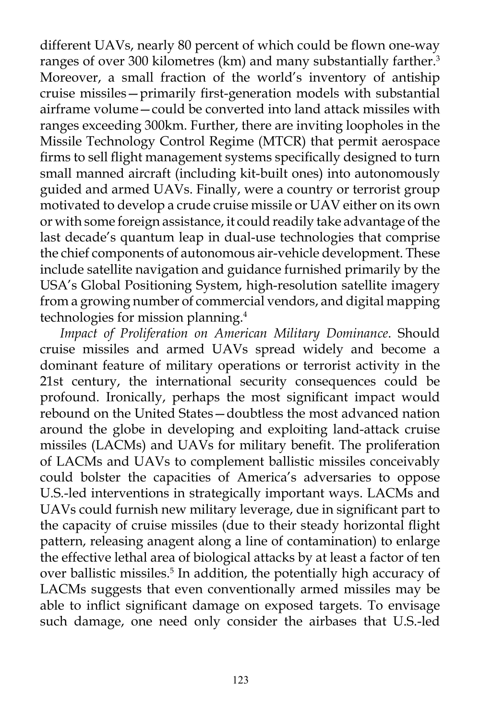different UAVs, nearly 80 percent of which could be flown one-way ranges of over 300 kilometres (km) and many substantially farther.<sup>3</sup> Moreover, a small fraction of the world's inventory of antiship cruise missiles—primarily first-generation models with substantial airframe volume—could be converted into land attack missiles with ranges exceeding 300km. Further, there are inviting loopholes in the Missile Technology Control Regime (MTCR) that permit aerospace firms to sell flight management systems specifically designed to turn small manned aircraft (including kit-built ones) into autonomously guided and armed UAVs. Finally, were a country or terrorist group motivated to develop a crude cruise missile or UAV either on its own or with some foreign assistance, it could readily take advantage of the last decade's quantum leap in dual-use technologies that comprise the chief components of autonomous air-vehicle development. These include satellite navigation and guidance furnished primarily by the USA's Global Positioning System, high-resolution satellite imagery from a growing number of commercial vendors, and digital mapping technologies for mission planning.<sup>4</sup>

*Impact of Proliferation on American Military Dominance*. Should cruise missiles and armed UAVs spread widely and become a dominant feature of military operations or terrorist activity in the 21st century, the international security consequences could be profound. Ironically, perhaps the most significant impact would rebound on the United States—doubtless the most advanced nation around the globe in developing and exploiting land-attack cruise missiles (LACMs) and UAVs for military benefit. The proliferation of LACMs and UAVs to complement ballistic missiles conceivably could bolster the capacities of America's adversaries to oppose U.S.-led interventions in strategically important ways. LACMs and UAVs could furnish new military leverage, due in significant part to the capacity of cruise missiles (due to their steady horizontal flight pattern, releasing anagent along a line of contamination) to enlarge the effective lethal area of biological attacks by at least a factor of ten over ballistic missiles.<sup>5</sup> In addition, the potentially high accuracy of LACMs suggests that even conventionally armed missiles may be able to inflict significant damage on exposed targets. To envisage such damage, one need only consider the airbases that U.S.-led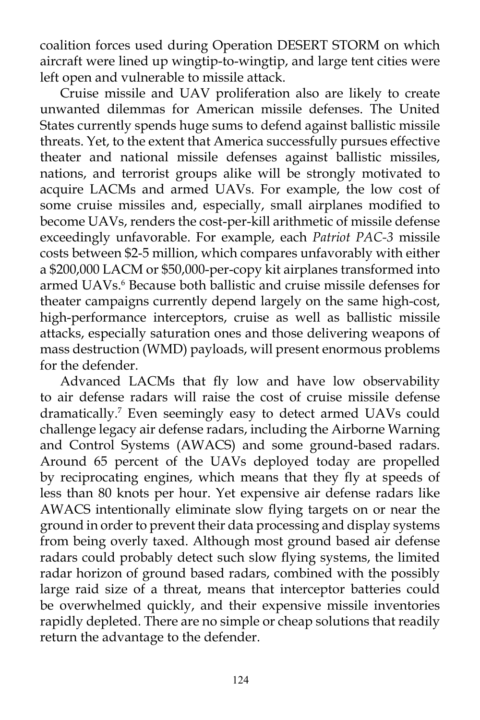coalition forces used during Operation DESERT STORM on which aircraft were lined up wingtip-to-wingtip, and large tent cities were left open and vulnerable to missile attack.

Cruise missile and UAV proliferation also are likely to create unwanted dilemmas for American missile defenses. The United States currently spends huge sums to defend against ballistic missile threats. Yet, to the extent that America successfully pursues effective theater and national missile defenses against ballistic missiles, nations, and terrorist groups alike will be strongly motivated to acquire LACMs and armed UAVs. For example, the low cost of some cruise missiles and, especially, small airplanes modified to become UAVs, renders the cost-per-kill arithmetic of missile defense exceedingly unfavorable. For example, each *Patriot PAC-3* missile costs between \$2-5 million, which compares unfavorably with either a \$200,000 LACM or \$50,000-per-copy kit airplanes transformed into armed UAVs.<sup>6</sup> Because both ballistic and cruise missile defenses for theater campaigns currently depend largely on the same high-cost, high-performance interceptors, cruise as well as ballistic missile attacks, especially saturation ones and those delivering weapons of mass destruction (WMD) payloads, will present enormous problems for the defender.

Advanced LACMs that fly low and have low observability to air defense radars will raise the cost of cruise missile defense dramatically.<sup>7</sup> Even seemingly easy to detect armed UAVs could challenge legacy air defense radars, including the Airborne Warning and Control Systems (AWACS) and some ground-based radars. Around 65 percent of the UAVs deployed today are propelled by reciprocating engines, which means that they fly at speeds of less than 80 knots per hour. Yet expensive air defense radars like AWACS intentionally eliminate slow flying targets on or near the ground in order to prevent their data processing and display systems from being overly taxed. Although most ground based air defense radars could probably detect such slow flying systems, the limited radar horizon of ground based radars, combined with the possibly large raid size of a threat, means that interceptor batteries could be overwhelmed quickly, and their expensive missile inventories rapidly depleted. There are no simple or cheap solutions that readily return the advantage to the defender.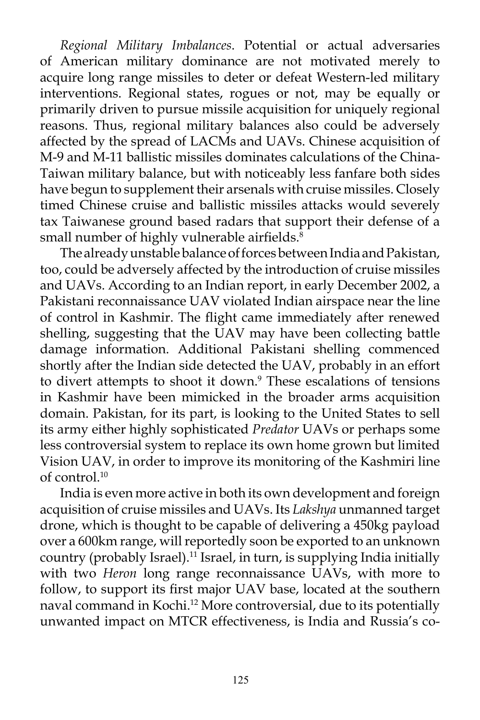*Regional Military Imbalances*. Potential or actual adversaries of American military dominance are not motivated merely to acquire long range missiles to deter or defeat Western-led military interventions. Regional states, rogues or not, may be equally or primarily driven to pursue missile acquisition for uniquely regional reasons. Thus, regional military balances also could be adversely affected by the spread of LACMs and UAVs. Chinese acquisition of M-9 and M-11 ballistic missiles dominates calculations of the China-Taiwan military balance, but with noticeably less fanfare both sides have begun to supplement their arsenals with cruise missiles. Closely timed Chinese cruise and ballistic missiles attacks would severely tax Taiwanese ground based radars that support their defense of a small number of highly vulnerable airfields.<sup>8</sup>

The already unstable balance of forces between India and Pakistan, too, could be adversely affected by the introduction of cruise missiles and UAVs. According to an Indian report, in early December 2002, a Pakistani reconnaissance UAV violated Indian airspace near the line of control in Kashmir. The flight came immediately after renewed shelling, suggesting that the UAV may have been collecting battle damage information. Additional Pakistani shelling commenced shortly after the Indian side detected the UAV, probably in an effort to divert attempts to shoot it down.<sup>9</sup> These escalations of tensions in Kashmir have been mimicked in the broader arms acquisition domain. Pakistan, for its part, is looking to the United States to sell its army either highly sophisticated *Predator* UAVs or perhaps some less controversial system to replace its own home grown but limited Vision UAV, in order to improve its monitoring of the Kashmiri line of control.<sup>10</sup>

India is even more active in both its own development and foreign acquisition of cruise missiles and UAVs. Its *Lakshya* unmanned target drone, which is thought to be capable of delivering a 450kg payload over a 600km range, will reportedly soon be exported to an unknown country (probably Israel).<sup>11</sup> Israel, in turn, is supplying India initially with two *Heron* long range reconnaissance UAVs, with more to follow, to support its first major UAV base, located at the southern naval command in Kochi.12 More controversial, due to its potentially unwanted impact on MTCR effectiveness, is India and Russia's co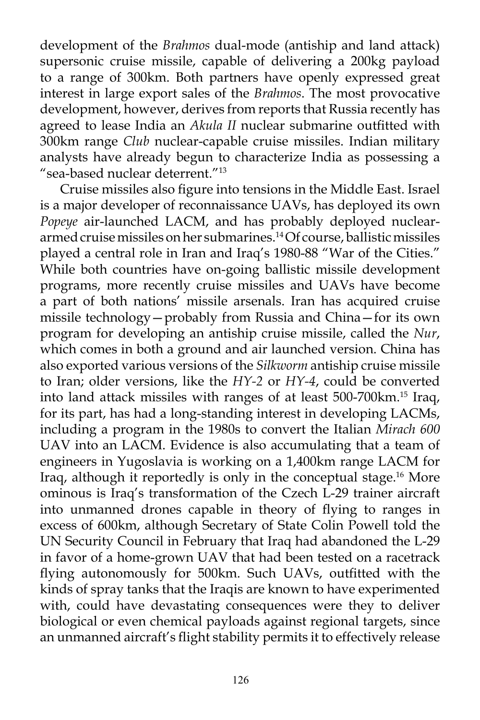development of the *Brahmos* dual-mode (antiship and land attack) supersonic cruise missile, capable of delivering a 200kg payload to a range of 300km. Both partners have openly expressed great interest in large export sales of the *Brahmos*. The most provocative development, however, derives from reports that Russia recently has agreed to lease India an *Akula II* nuclear submarine outfitted with 300km range *Club* nuclear-capable cruise missiles. Indian military analysts have already begun to characterize India as possessing a "sea-based nuclear deterrent."13

Cruise missiles also figure into tensions in the Middle East. Israel is a major developer of reconnaissance UAVs, has deployed its own *Popeye* air-launched LACM, and has probably deployed nucleararmed cruise missiles on her submarines.14 Of course, ballistic missiles played a central role in Iran and Iraq's 1980-88 "War of the Cities." While both countries have on-going ballistic missile development programs, more recently cruise missiles and UAVs have become a part of both nations' missile arsenals. Iran has acquired cruise missile technology—probably from Russia and China—for its own program for developing an antiship cruise missile, called the *Nur*, which comes in both a ground and air launched version. China has also exported various versions of the *Silkworm* antiship cruise missile to Iran; older versions, like the *HY-2* or *HY-4*, could be converted into land attack missiles with ranges of at least 500-700km.15 Iraq, for its part, has had a long-standing interest in developing LACMs, including a program in the 1980s to convert the Italian *Mirach 600* UAV into an LACM. Evidence is also accumulating that a team of engineers in Yugoslavia is working on a 1,400km range LACM for Iraq, although it reportedly is only in the conceptual stage.<sup>16</sup> More ominous is Iraq's transformation of the Czech L-29 trainer aircraft into unmanned drones capable in theory of flying to ranges in excess of 600km, although Secretary of State Colin Powell told the UN Security Council in February that Iraq had abandoned the L-29 in favor of a home-grown UAV that had been tested on a racetrack flying autonomously for 500km. Such UAVs, outfitted with the kinds of spray tanks that the Iraqis are known to have experimented with, could have devastating consequences were they to deliver biological or even chemical payloads against regional targets, since an unmanned aircraft's flight stability permits it to effectively release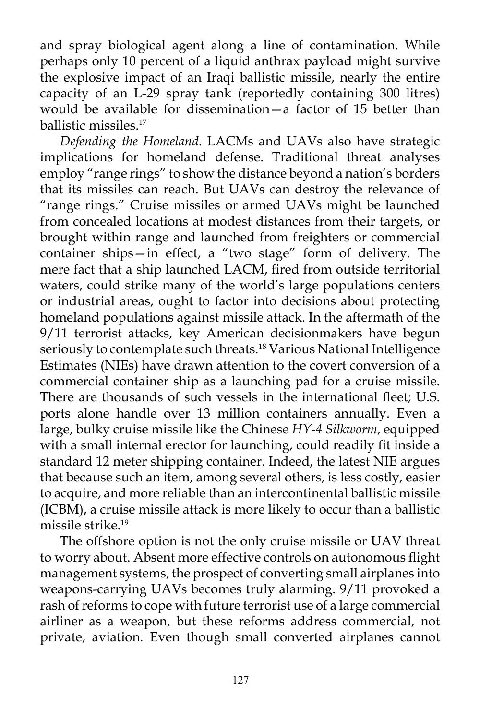and spray biological agent along a line of contamination. While perhaps only 10 percent of a liquid anthrax payload might survive the explosive impact of an Iraqi ballistic missile, nearly the entire capacity of an L-29 spray tank (reportedly containing 300 litres) would be available for dissemination—a factor of 15 better than ballistic missiles.<sup>17</sup>

*Defending the Homeland*. LACMs and UAVs also have strategic implications for homeland defense. Traditional threat analyses employ "range rings" to show the distance beyond a nation's borders that its missiles can reach. But UAVs can destroy the relevance of "range rings." Cruise missiles or armed UAVs might be launched from concealed locations at modest distances from their targets, or brought within range and launched from freighters or commercial container ships—in effect, a "two stage" form of delivery. The mere fact that a ship launched LACM, fired from outside territorial waters, could strike many of the world's large populations centers or industrial areas, ought to factor into decisions about protecting homeland populations against missile attack. In the aftermath of the 9/11 terrorist attacks, key American decisionmakers have begun seriously to contemplate such threats.<sup>18</sup> Various National Intelligence Estimates (NIEs) have drawn attention to the covert conversion of a commercial container ship as a launching pad for a cruise missile. There are thousands of such vessels in the international fleet; U.S. ports alone handle over 13 million containers annually. Even a large, bulky cruise missile like the Chinese *HY-4 Silkworm*, equipped with a small internal erector for launching, could readily fit inside a standard 12 meter shipping container. Indeed, the latest NIE argues that because such an item, among several others, is less costly, easier to acquire, and more reliable than an intercontinental ballistic missile (ICBM), a cruise missile attack is more likely to occur than a ballistic missile strike.<sup>19</sup>

The offshore option is not the only cruise missile or UAV threat to worry about. Absent more effective controls on autonomous flight management systems, the prospect of converting small airplanes into weapons-carrying UAVs becomes truly alarming. 9/11 provoked a rash of reforms to cope with future terrorist use of a large commercial airliner as a weapon, but these reforms address commercial, not private, aviation. Even though small converted airplanes cannot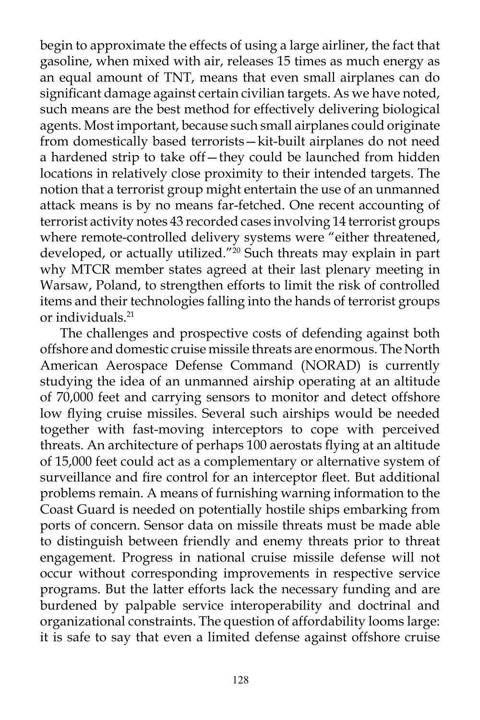begin to approximate the effects of using a large airliner, the fact that gasoline, when mixed with air, releases 15 times as much energy as an equal amount of TNT, means that even small airplanes can do significant damage against certain civilian targets. As we have noted, such means are the best method for effectively delivering biological agents. Most important, because such small airplanes could originate from domestically based terrorists—kit-built airplanes do not need a hardened strip to take off—they could be launched from hidden locations in relatively close proximity to their intended targets. The notion that a terrorist group might entertain the use of an unmanned attack means is by no means far-fetched. One recent accounting of terrorist activity notes 43 recorded cases involving 14 terrorist groups where remote-controlled delivery systems were "either threatened, developed, or actually utilized."<sup>20</sup> Such threats may explain in part why MTCR member states agreed at their last plenary meeting in Warsaw, Poland, to strengthen efforts to limit the risk of controlled items and their technologies falling into the hands of terrorist groups or individuals.<sup>21</sup>

The challenges and prospective costs of defending against both offshore and domestic cruise missile threats are enormous. The North American Aerospace Defense Command (NORAD) is currently studying the idea of an unmanned airship operating at an altitude of 70,000 feet and carrying sensors to monitor and detect offshore low flying cruise missiles. Several such airships would be needed together with fast-moving interceptors to cope with perceived threats. An architecture of perhaps 100 aerostats flying at an altitude of 15,000 feet could act as a complementary or alternative system of surveillance and fire control for an interceptor fleet. But additional problems remain. A means of furnishing warning information to the Coast Guard is needed on potentially hostile ships embarking from ports of concern. Sensor data on missile threats must be made able to distinguish between friendly and enemy threats prior to threat engagement. Progress in national cruise missile defense will not occur without corresponding improvements in respective service programs. But the latter efforts lack the necessary funding and are burdened by palpable service interoperability and doctrinal and organizational constraints. The question of affordability looms large: it is safe to say that even a limited defense against offshore cruise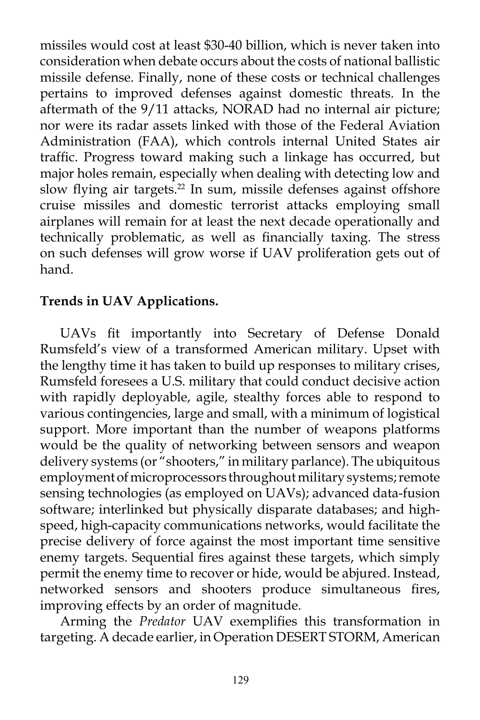missiles would cost at least \$30-40 billion, which is never taken into consideration when debate occurs about the costs of national ballistic missile defense. Finally, none of these costs or technical challenges pertains to improved defenses against domestic threats. In the aftermath of the 9/11 attacks, NORAD had no internal air picture; nor were its radar assets linked with those of the Federal Aviation Administration (FAA), which controls internal United States air traffic. Progress toward making such a linkage has occurred, but major holes remain, especially when dealing with detecting low and slow flying air targets.<sup>22</sup> In sum, missile defenses against offshore cruise missiles and domestic terrorist attacks employing small airplanes will remain for at least the next decade operationally and technically problematic, as well as financially taxing. The stress on such defenses will grow worse if UAV proliferation gets out of hand.

## **Trends in UAV Applications.**

UAVs fit importantly into Secretary of Defense Donald Rumsfeld's view of a transformed American military. Upset with the lengthy time it has taken to build up responses to military crises, Rumsfeld foresees a U.S. military that could conduct decisive action with rapidly deployable, agile, stealthy forces able to respond to various contingencies, large and small, with a minimum of logistical support. More important than the number of weapons platforms would be the quality of networking between sensors and weapon delivery systems (or "shooters," in military parlance). The ubiquitous employment of microprocessors throughout military systems; remote sensing technologies (as employed on UAVs); advanced data-fusion software; interlinked but physically disparate databases; and highspeed, high-capacity communications networks, would facilitate the precise delivery of force against the most important time sensitive enemy targets. Sequential fires against these targets, which simply permit the enemy time to recover or hide, would be abjured. Instead, networked sensors and shooters produce simultaneous fires, improving effects by an order of magnitude.

Arming the *Predator* UAV exemplifies this transformation in targeting. A decade earlier, in Operation DESERT STORM, American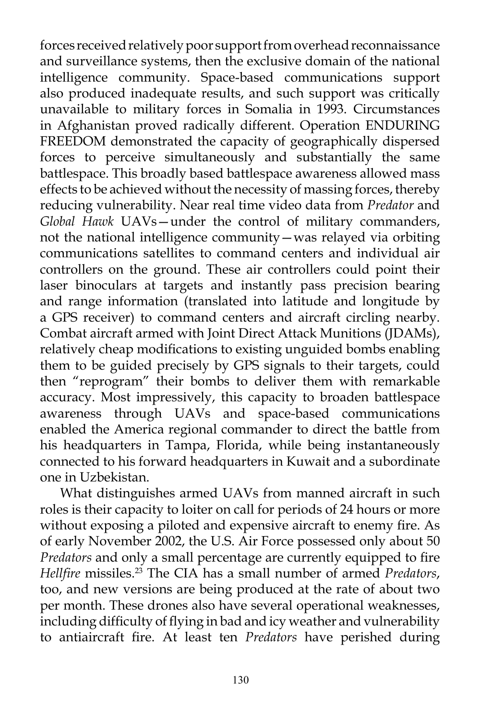forces received relatively poor support from overhead reconnaissance and surveillance systems, then the exclusive domain of the national intelligence community. Space-based communications support also produced inadequate results, and such support was critically unavailable to military forces in Somalia in 1993. Circumstances in Afghanistan proved radically different. Operation ENDURING FREEDOM demonstrated the capacity of geographically dispersed forces to perceive simultaneously and substantially the same battlespace. This broadly based battlespace awareness allowed mass effects to be achieved without the necessity of massing forces, thereby reducing vulnerability. Near real time video data from *Predator* and *Global Hawk* UAVs—under the control of military commanders, not the national intelligence community—was relayed via orbiting communications satellites to command centers and individual air controllers on the ground. These air controllers could point their laser binoculars at targets and instantly pass precision bearing and range information (translated into latitude and longitude by a GPS receiver) to command centers and aircraft circling nearby. Combat aircraft armed with Joint Direct Attack Munitions (JDAMs), relatively cheap modifications to existing unguided bombs enabling them to be guided precisely by GPS signals to their targets, could then "reprogram" their bombs to deliver them with remarkable accuracy. Most impressively, this capacity to broaden battlespace awareness through UAVs and space-based communications enabled the America regional commander to direct the battle from his headquarters in Tampa, Florida, while being instantaneously connected to his forward headquarters in Kuwait and a subordinate one in Uzbekistan.

What distinguishes armed UAVs from manned aircraft in such roles is their capacity to loiter on call for periods of 24 hours or more without exposing a piloted and expensive aircraft to enemy fire. As of early November 2002, the U.S. Air Force possessed only about 50 *Predators* and only a small percentage are currently equipped to fire *Hellfire* missiles.23 The CIA has a small number of armed *Predators*, too, and new versions are being produced at the rate of about two per month. These drones also have several operational weaknesses, including difficulty of flying in bad and icy weather and vulnerability to antiaircraft fire. At least ten *Predators* have perished during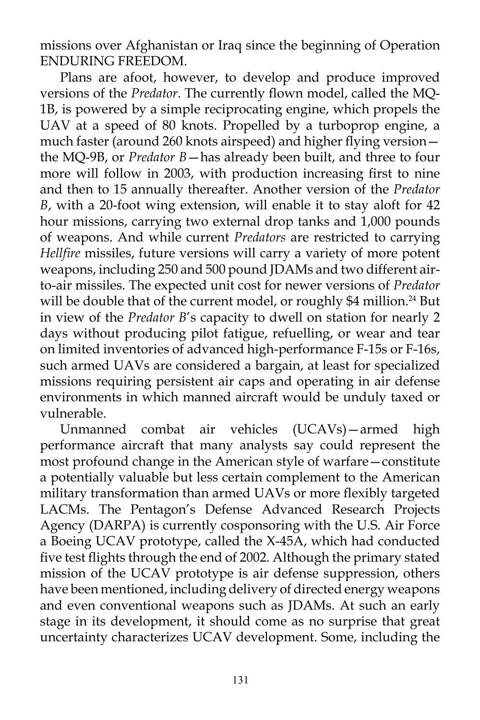missions over Afghanistan or Iraq since the beginning of Operation ENDURING FREEDOM.

Plans are afoot, however, to develop and produce improved versions of the *Predator*. The currently flown model, called the MQ-1B, is powered by a simple reciprocating engine, which propels the UAV at a speed of 80 knots. Propelled by a turboprop engine, a much faster (around 260 knots airspeed) and higher flying version the MQ-9B, or *Predator B*—has already been built, and three to four more will follow in 2003, with production increasing first to nine and then to 15 annually thereafter. Another version of the *Predator B*, with a 20-foot wing extension, will enable it to stay aloft for 42 hour missions, carrying two external drop tanks and 1,000 pounds of weapons. And while current *Predators* are restricted to carrying *Hellfire* missiles, future versions will carry a variety of more potent weapons, including 250 and 500 pound JDAMs and two different airto-air missiles. The expected unit cost for newer versions of *Predator* will be double that of the current model, or roughly \$4 million.<sup>24</sup> But in view of the *Predator B*'s capacity to dwell on station for nearly 2 days without producing pilot fatigue, refuelling, or wear and tear on limited inventories of advanced high-performance F-15s or F-16s, such armed UAVs are considered a bargain, at least for specialized missions requiring persistent air caps and operating in air defense environments in which manned aircraft would be unduly taxed or vulnerable.

Unmanned combat air vehicles (UCAVs)—armed high performance aircraft that many analysts say could represent the most profound change in the American style of warfare—constitute a potentially valuable but less certain complement to the American military transformation than armed UAVs or more flexibly targeted LACMs. The Pentagon's Defense Advanced Research Projects Agency (DARPA) is currently cosponsoring with the U.S. Air Force a Boeing UCAV prototype, called the X-45A, which had conducted five test flights through the end of 2002. Although the primary stated mission of the UCAV prototype is air defense suppression, others have been mentioned, including delivery of directed energy weapons and even conventional weapons such as JDAMs. At such an early stage in its development, it should come as no surprise that great uncertainty characterizes UCAV development. Some, including the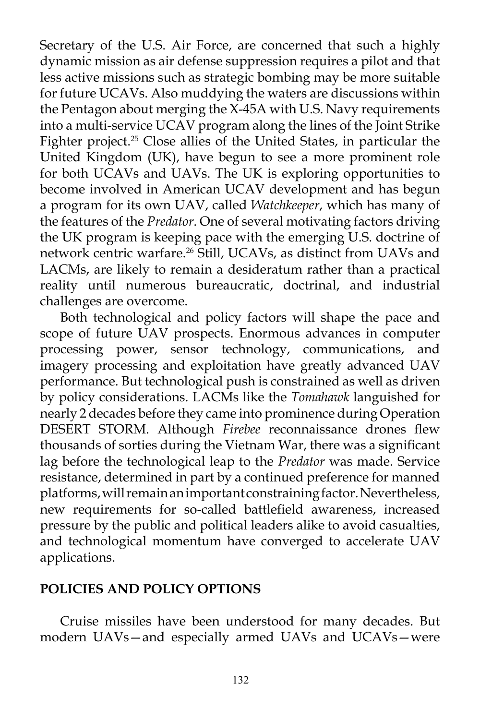Secretary of the U.S. Air Force, are concerned that such a highly dynamic mission as air defense suppression requires a pilot and that less active missions such as strategic bombing may be more suitable for future UCAVs. Also muddying the waters are discussions within the Pentagon about merging the X-45A with U.S. Navy requirements into a multi-service UCAV program along the lines of the Joint Strike Fighter project.<sup>25</sup> Close allies of the United States, in particular the United Kingdom (UK), have begun to see a more prominent role for both UCAVs and UAVs. The UK is exploring opportunities to become involved in American UCAV development and has begun a program for its own UAV, called *Watchkeeper*, which has many of the features of the *Predator*. One of several motivating factors driving the UK program is keeping pace with the emerging U.S. doctrine of network centric warfare.26 Still, UCAVs, as distinct from UAVs and LACMs, are likely to remain a desideratum rather than a practical reality until numerous bureaucratic, doctrinal, and industrial challenges are overcome.

Both technological and policy factors will shape the pace and scope of future UAV prospects. Enormous advances in computer processing power, sensor technology, communications, and imagery processing and exploitation have greatly advanced UAV performance. But technological push is constrained as well as driven by policy considerations. LACMs like the *Tomahawk* languished for nearly 2 decades before they came into prominence during Operation DESERT STORM. Although *Firebee* reconnaissance drones flew thousands of sorties during the Vietnam War, there was a significant lag before the technological leap to the *Predator* was made. Service resistance, determined in part by a continued preference for manned platforms, will remain an important constraining factor. Nevertheless, new requirements for so-called battlefield awareness, increased pressure by the public and political leaders alike to avoid casualties, and technological momentum have converged to accelerate UAV applications.

## **POLICIES AND POLICY OPTIONS**

Cruise missiles have been understood for many decades. But modern UAVs—and especially armed UAVs and UCAVs—were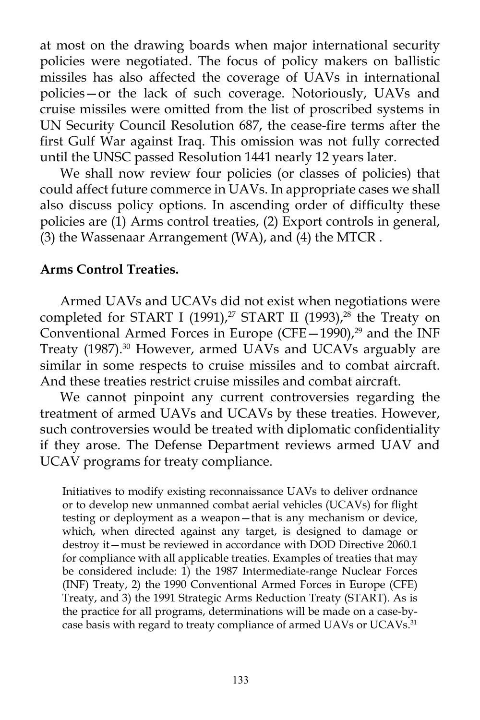at most on the drawing boards when major international security policies were negotiated. The focus of policy makers on ballistic missiles has also affected the coverage of UAVs in international policies—or the lack of such coverage. Notoriously, UAVs and cruise missiles were omitted from the list of proscribed systems in UN Security Council Resolution 687, the cease-fire terms after the first Gulf War against Iraq. This omission was not fully corrected until the UNSC passed Resolution 1441 nearly 12 years later.

We shall now review four policies (or classes of policies) that could affect future commerce in UAVs. In appropriate cases we shall also discuss policy options. In ascending order of difficulty these policies are (1) Arms control treaties, (2) Export controls in general, (3) the Wassenaar Arrangement (WA), and (4) the MTCR .

## **Arms Control Treaties.**

Armed UAVs and UCAVs did not exist when negotiations were completed for START I (1991),<sup>27</sup> START II (1993),<sup>28</sup> the Treaty on Conventional Armed Forces in Europe (CFE $-1990$ ),<sup>29</sup> and the INF Treaty (1987).<sup>30</sup> However, armed UAVs and UCAVs arguably are similar in some respects to cruise missiles and to combat aircraft. And these treaties restrict cruise missiles and combat aircraft.

We cannot pinpoint any current controversies regarding the treatment of armed UAVs and UCAVs by these treaties. However, such controversies would be treated with diplomatic confidentiality if they arose. The Defense Department reviews armed UAV and UCAV programs for treaty compliance.

Initiatives to modify existing reconnaissance UAVs to deliver ordnance or to develop new unmanned combat aerial vehicles (UCAVs) for flight testing or deployment as a weapon—that is any mechanism or device, which, when directed against any target, is designed to damage or destroy it—must be reviewed in accordance with DOD Directive 2060.1 for compliance with all applicable treaties. Examples of treaties that may be considered include: 1) the 1987 Intermediate-range Nuclear Forces (INF) Treaty, 2) the 1990 Conventional Armed Forces in Europe (CFE) Treaty, and 3) the 1991 Strategic Arms Reduction Treaty (START). As is the practice for all programs, determinations will be made on a case-bycase basis with regard to treaty compliance of armed UAVs or UCAVs.<sup>31</sup>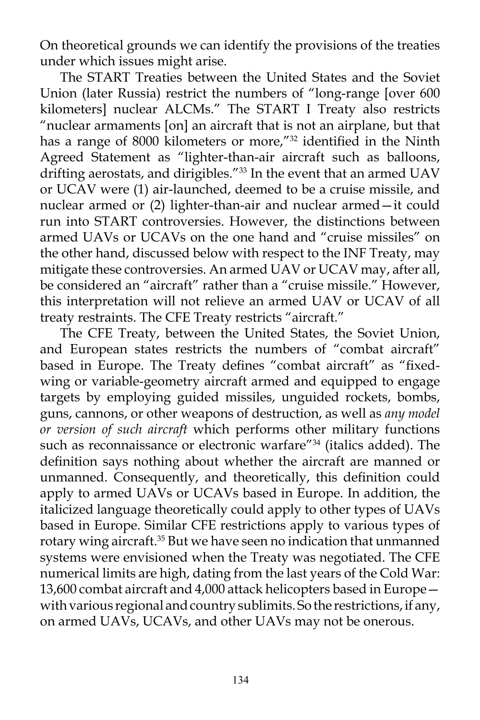On theoretical grounds we can identify the provisions of the treaties under which issues might arise.

The START Treaties between the United States and the Soviet Union (later Russia) restrict the numbers of "long-range [over 600 kilometers] nuclear ALCMs." The START I Treaty also restricts "nuclear armaments [on] an aircraft that is not an airplane, but that has a range of 8000 kilometers or more,"<sup>32</sup> identified in the Ninth Agreed Statement as "lighter-than-air aircraft such as balloons, drifting aerostats, and dirigibles."<sup>33</sup> In the event that an armed UAV or UCAV were (1) air-launched, deemed to be a cruise missile, and nuclear armed or (2) lighter-than-air and nuclear armed—it could run into START controversies. However, the distinctions between armed UAVs or UCAVs on the one hand and "cruise missiles" on the other hand, discussed below with respect to the INF Treaty, may mitigate these controversies. An armed UAV or UCAV may, after all, be considered an "aircraft" rather than a "cruise missile." However, this interpretation will not relieve an armed UAV or UCAV of all treaty restraints. The CFE Treaty restricts "aircraft."

The CFE Treaty, between the United States, the Soviet Union, and European states restricts the numbers of "combat aircraft" based in Europe. The Treaty defines "combat aircraft" as "fixedwing or variable-geometry aircraft armed and equipped to engage targets by employing guided missiles, unguided rockets, bombs, guns, cannons, or other weapons of destruction, as well as *any model or version of such aircraft* which performs other military functions such as reconnaissance or electronic warfare"<sup>34</sup> (italics added). The definition says nothing about whether the aircraft are manned or unmanned. Consequently, and theoretically, this definition could apply to armed UAVs or UCAVs based in Europe. In addition, the italicized language theoretically could apply to other types of UAVs based in Europe. Similar CFE restrictions apply to various types of rotary wing aircraft.<sup>35</sup> But we have seen no indication that unmanned systems were envisioned when the Treaty was negotiated. The CFE numerical limits are high, dating from the last years of the Cold War: 13,600 combat aircraft and 4,000 attack helicopters based in Europe with various regional and country sublimits. So the restrictions, if any, on armed UAVs, UCAVs, and other UAVs may not be onerous.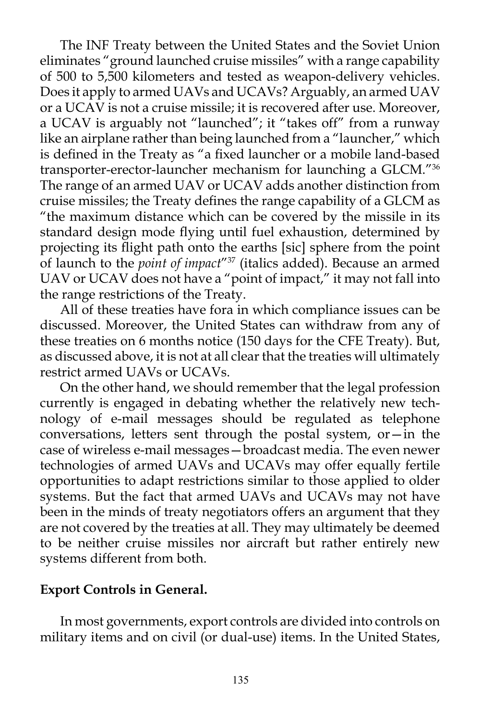The INF Treaty between the United States and the Soviet Union eliminates "ground launched cruise missiles" with a range capability of 500 to 5,500 kilometers and tested as weapon-delivery vehicles. Does it apply to armed UAVs and UCAVs? Arguably, an armed UAV or a UCAV is not a cruise missile; it is recovered after use. Moreover, a UCAV is arguably not "launched"; it "takes off" from a runway like an airplane rather than being launched from a "launcher," which is defined in the Treaty as "a fixed launcher or a mobile land-based transporter-erector-launcher mechanism for launching a GLCM."36 The range of an armed UAV or UCAV adds another distinction from cruise missiles; the Treaty defines the range capability of a GLCM as "the maximum distance which can be covered by the missile in its standard design mode flying until fuel exhaustion, determined by projecting its flight path onto the earths [sic] sphere from the point of launch to the *point of impact*"37 (italics added). Because an armed UAV or UCAV does not have a "point of impact," it may not fall into the range restrictions of the Treaty.

All of these treaties have fora in which compliance issues can be discussed. Moreover, the United States can withdraw from any of these treaties on 6 months notice (150 days for the CFE Treaty). But, as discussed above, it is not at all clear that the treaties will ultimately restrict armed UAVs or UCAVs.

On the other hand, we should remember that the legal profession currently is engaged in debating whether the relatively new technology of e-mail messages should be regulated as telephone conversations, letters sent through the postal system, or—in the case of wireless e-mail messages—broadcast media. The even newer technologies of armed UAVs and UCAVs may offer equally fertile opportunities to adapt restrictions similar to those applied to older systems. But the fact that armed UAVs and UCAVs may not have been in the minds of treaty negotiators offers an argument that they are not covered by the treaties at all. They may ultimately be deemed to be neither cruise missiles nor aircraft but rather entirely new systems different from both.

## **Export Controls in General.**

In most governments, export controls are divided into controls on military items and on civil (or dual-use) items. In the United States,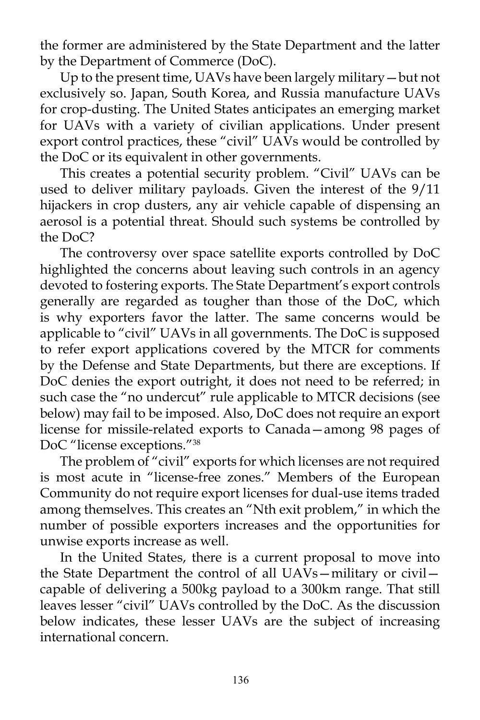the former are administered by the State Department and the latter by the Department of Commerce (DoC).

Up to the present time, UAVs have been largely military—but not exclusively so. Japan, South Korea, and Russia manufacture UAVs for crop-dusting. The United States anticipates an emerging market for UAVs with a variety of civilian applications. Under present export control practices, these "civil" UAVs would be controlled by the DoC or its equivalent in other governments.

This creates a potential security problem. "Civil" UAVs can be used to deliver military payloads. Given the interest of the 9/11 hijackers in crop dusters, any air vehicle capable of dispensing an aerosol is a potential threat. Should such systems be controlled by the DoC?

The controversy over space satellite exports controlled by DoC highlighted the concerns about leaving such controls in an agency devoted to fostering exports. The State Department's export controls generally are regarded as tougher than those of the DoC, which is why exporters favor the latter. The same concerns would be applicable to "civil" UAVs in all governments. The DoC is supposed to refer export applications covered by the MTCR for comments by the Defense and State Departments, but there are exceptions. If DoC denies the export outright, it does not need to be referred; in such case the "no undercut" rule applicable to MTCR decisions (see below) may fail to be imposed. Also, DoC does not require an export license for missile-related exports to Canada—among 98 pages of DoC "license exceptions."38

The problem of "civil" exports for which licenses are not required is most acute in "license-free zones." Members of the European Community do not require export licenses for dual-use items traded among themselves. This creates an "Nth exit problem," in which the number of possible exporters increases and the opportunities for unwise exports increase as well.

In the United States, there is a current proposal to move into the State Department the control of all UAVs—military or civil capable of delivering a 500kg payload to a 300km range. That still leaves lesser "civil" UAVs controlled by the DoC. As the discussion below indicates, these lesser UAVs are the subject of increasing international concern.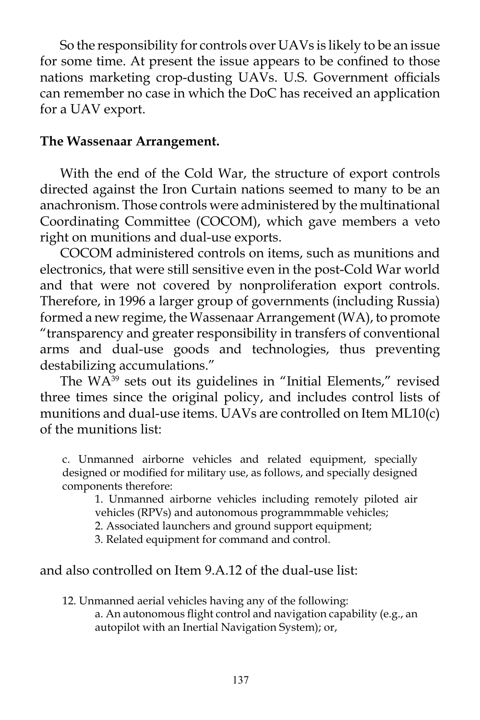So the responsibility for controls over UAVs is likely to be an issue for some time. At present the issue appears to be confined to those nations marketing crop-dusting UAVs. U.S. Government officials can remember no case in which the DoC has received an application for a UAV export.

### **The Wassenaar Arrangement.**

With the end of the Cold War, the structure of export controls directed against the Iron Curtain nations seemed to many to be an anachronism. Those controls were administered by the multinational Coordinating Committee (COCOM), which gave members a veto right on munitions and dual-use exports.

COCOM administered controls on items, such as munitions and electronics, that were still sensitive even in the post-Cold War world and that were not covered by nonproliferation export controls. Therefore, in 1996 a larger group of governments (including Russia) formed a new regime, the Wassenaar Arrangement (WA), to promote "transparency and greater responsibility in transfers of conventional arms and dual-use goods and technologies, thus preventing destabilizing accumulations."

The WA39 sets out its guidelines in "Initial Elements," revised three times since the original policy, and includes control lists of munitions and dual-use items. UAVs are controlled on Item ML10(c) of the munitions list:

c. Unmanned airborne vehicles and related equipment, specially designed or modified for military use, as follows, and specially designed components therefore:

1. Unmanned airborne vehicles including remotely piloted air vehicles (RPVs) and autonomous programmmable vehicles;

2. Associated launchers and ground support equipment;

3. Related equipment for command and control.

## and also controlled on Item 9.A.12 of the dual-use list:

12. Unmanned aerial vehicles having any of the following: a. An autonomous flight control and navigation capability (e.g., an autopilot with an Inertial Navigation System); or,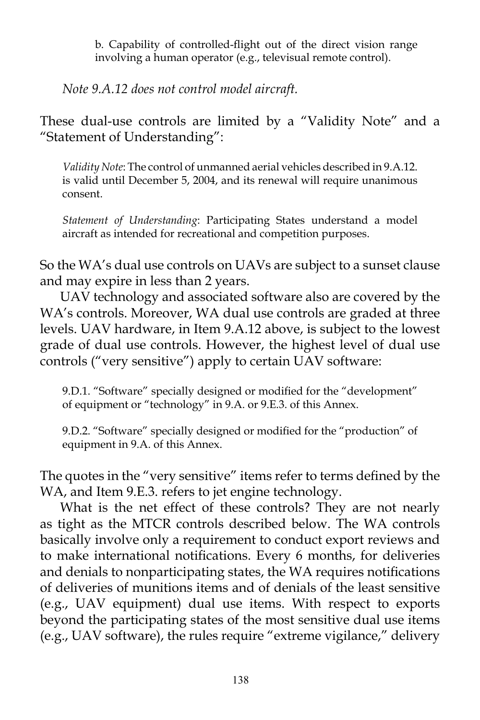b. Capability of controlled-flight out of the direct vision range involving a human operator (e.g., televisual remote control).

*Note 9.A.12 does not control model aircraft.*

These dual-use controls are limited by a "Validity Note" and a "Statement of Understanding":

*Validity Note*: The control of unmanned aerial vehicles described in 9.A.12. is valid until December 5, 2004, and its renewal will require unanimous consent.

*Statement of Understanding*: Participating States understand a model aircraft as intended for recreational and competition purposes.

So the WA's dual use controls on UAVs are subject to a sunset clause and may expire in less than 2 years.

UAV technology and associated software also are covered by the WA's controls. Moreover, WA dual use controls are graded at three levels. UAV hardware, in Item 9.A.12 above, is subject to the lowest grade of dual use controls. However, the highest level of dual use controls ("very sensitive") apply to certain UAV software:

9.D.1. "Software" specially designed or modified for the "development" of equipment or "technology" in 9.A. or 9.E.3. of this Annex.

9.D.2. "Software" specially designed or modified for the "production" of equipment in 9.A. of this Annex.

The quotes in the "very sensitive" items refer to terms defined by the WA, and Item 9.E.3. refers to jet engine technology.

What is the net effect of these controls? They are not nearly as tight as the MTCR controls described below. The WA controls basically involve only a requirement to conduct export reviews and to make international notifications. Every 6 months, for deliveries and denials to nonparticipating states, the WA requires notifications of deliveries of munitions items and of denials of the least sensitive (e.g., UAV equipment) dual use items. With respect to exports beyond the participating states of the most sensitive dual use items (e.g., UAV software), the rules require "extreme vigilance," delivery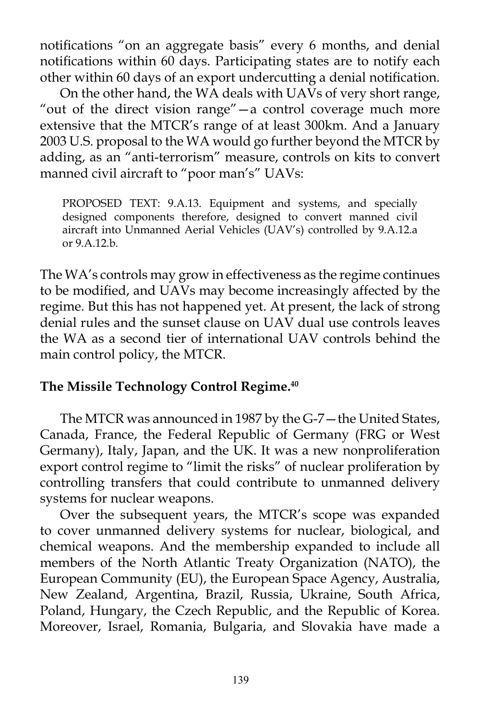notifications "on an aggregate basis" every 6 months, and denial notifications within 60 days. Participating states are to notify each other within 60 days of an export undercutting a denial notification.

On the other hand, the WA deals with UAVs of very short range, "out of the direct vision range"—a control coverage much more extensive that the MTCR's range of at least 300km. And a January 2003 U.S. proposal to the WA would go further beyond the MTCR by adding, as an "anti-terrorism" measure, controls on kits to convert manned civil aircraft to "poor man's" UAVs:

PROPOSED TEXT: 9.A.13. Equipment and systems, and specially designed components therefore, designed to convert manned civil aircraft into Unmanned Aerial Vehicles (UAV's) controlled by 9.A.12.a or 9.A.12.b.

The WA's controls may grow in effectiveness as the regime continues to be modified, and UAVs may become increasingly affected by the regime. But this has not happened yet. At present, the lack of strong denial rules and the sunset clause on UAV dual use controls leaves the WA as a second tier of international UAV controls behind the main control policy, the MTCR.

# **The Missile Technology Control Regime.40**

The MTCR was announced in 1987 by the G-7—the United States, Canada, France, the Federal Republic of Germany (FRG or West Germany), Italy, Japan, and the UK. It was a new nonproliferation export control regime to "limit the risks" of nuclear proliferation by controlling transfers that could contribute to unmanned delivery systems for nuclear weapons.

Over the subsequent years, the MTCR's scope was expanded to cover unmanned delivery systems for nuclear, biological, and chemical weapons. And the membership expanded to include all members of the North Atlantic Treaty Organization (NATO), the European Community (EU), the European Space Agency, Australia, New Zealand, Argentina, Brazil, Russia, Ukraine, South Africa, Poland, Hungary, the Czech Republic, and the Republic of Korea. Moreover, Israel, Romania, Bulgaria, and Slovakia have made a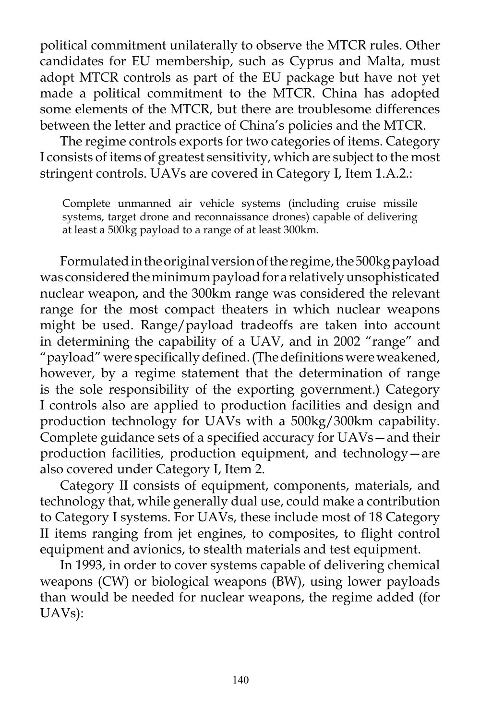political commitment unilaterally to observe the MTCR rules. Other candidates for EU membership, such as Cyprus and Malta, must adopt MTCR controls as part of the EU package but have not yet made a political commitment to the MTCR. China has adopted some elements of the MTCR, but there are troublesome differences between the letter and practice of China's policies and the MTCR.

The regime controls exports for two categories of items. Category I consists of items of greatest sensitivity, which are subject to the most stringent controls. UAVs are covered in Category I, Item 1.A.2.:

Complete unmanned air vehicle systems (including cruise missile systems, target drone and reconnaissance drones) capable of delivering at least a 500kg payload to a range of at least 300km.

Formulated in the original version of the regime, the 500kg payload was considered the minimum payload for a relatively unsophisticated nuclear weapon, and the 300km range was considered the relevant range for the most compact theaters in which nuclear weapons might be used. Range/payload tradeoffs are taken into account in determining the capability of a UAV, and in 2002 "range" and "payload" were specifically defined. (The definitions were weakened, however, by a regime statement that the determination of range is the sole responsibility of the exporting government.) Category I controls also are applied to production facilities and design and production technology for UAVs with a 500kg/300km capability. Complete guidance sets of a specified accuracy for UAVs—and their production facilities, production equipment, and technology—are also covered under Category I, Item 2.

Category II consists of equipment, components, materials, and technology that, while generally dual use, could make a contribution to Category I systems. For UAVs, these include most of 18 Category II items ranging from jet engines, to composites, to flight control equipment and avionics, to stealth materials and test equipment.

In 1993, in order to cover systems capable of delivering chemical weapons (CW) or biological weapons (BW), using lower payloads than would be needed for nuclear weapons, the regime added (for UAVs):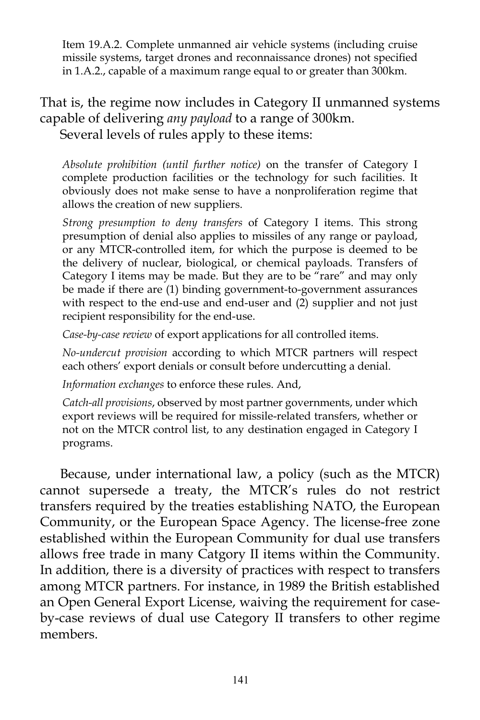Item 19.A.2. Complete unmanned air vehicle systems (including cruise missile systems, target drones and reconnaissance drones) not specified in 1.A.2., capable of a maximum range equal to or greater than 300km.

That is, the regime now includes in Category II unmanned systems capable of delivering *any payload* to a range of 300km. Several levels of rules apply to these items:

*Absolute prohibition (until further notice)* on the transfer of Category I complete production facilities or the technology for such facilities. It obviously does not make sense to have a nonproliferation regime that allows the creation of new suppliers.

*Strong presumption to deny transfers* of Category I items. This strong presumption of denial also applies to missiles of any range or payload, or any MTCR-controlled item, for which the purpose is deemed to be the delivery of nuclear, biological, or chemical payloads. Transfers of Category I items may be made. But they are to be "rare" and may only be made if there are (1) binding government-to-government assurances with respect to the end-use and end-user and (2) supplier and not just recipient responsibility for the end-use.

*Case-by-case review* of export applications for all controlled items.

*No-undercut provision* according to which MTCR partners will respect each others' export denials or consult before undercutting a denial.

*Information exchanges* to enforce these rules. And,

*Catch-all provisions*, observed by most partner governments, under which export reviews will be required for missile-related transfers, whether or not on the MTCR control list, to any destination engaged in Category I programs.

Because, under international law, a policy (such as the MTCR) cannot supersede a treaty, the MTCR's rules do not restrict transfers required by the treaties establishing NATO, the European Community, or the European Space Agency. The license-free zone established within the European Community for dual use transfers allows free trade in many Catgory II items within the Community. In addition, there is a diversity of practices with respect to transfers among MTCR partners. For instance, in 1989 the British established an Open General Export License, waiving the requirement for caseby-case reviews of dual use Category II transfers to other regime members.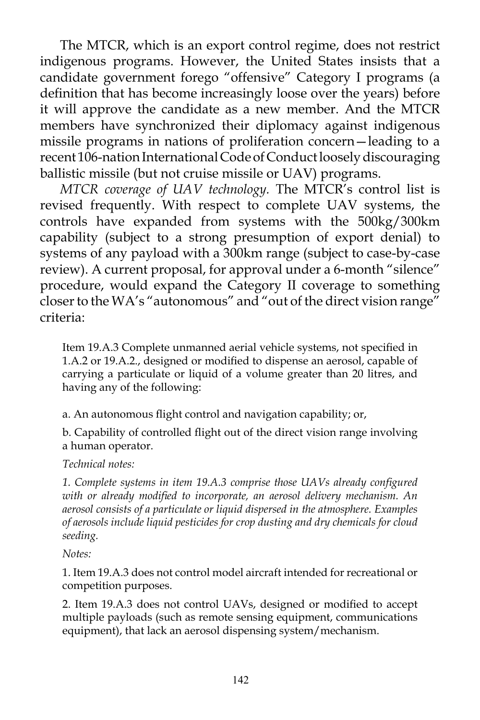The MTCR, which is an export control regime, does not restrict indigenous programs. However, the United States insists that a candidate government forego "offensive" Category I programs (a definition that has become increasingly loose over the years) before it will approve the candidate as a new member. And the MTCR members have synchronized their diplomacy against indigenous missile programs in nations of proliferation concern—leading to a recent 106-nation International Code of Conduct loosely discouraging ballistic missile (but not cruise missile or UAV) programs.

*MTCR coverage of UAV technology.* The MTCR's control list is revised frequently. With respect to complete UAV systems, the controls have expanded from systems with the 500kg/300km capability (subject to a strong presumption of export denial) to systems of any payload with a 300km range (subject to case-by-case review). A current proposal, for approval under a 6-month "silence" procedure, would expand the Category II coverage to something closer to the WA's "autonomous" and "out of the direct vision range" criteria:

Item 19.A.3 Complete unmanned aerial vehicle systems, not specified in 1.A.2 or 19.A.2., designed or modified to dispense an aerosol, capable of carrying a particulate or liquid of a volume greater than 20 litres, and having any of the following:

a. An autonomous flight control and navigation capability; or,

b. Capability of controlled flight out of the direct vision range involving a human operator.

*Technical notes:*

*1. Complete systems in item 19.A.3 comprise those UAVs already configured with or already modified to incorporate, an aerosol delivery mechanism. An aerosol consists of a particulate or liquid dispersed in the atmosphere. Examples of aerosols include liquid pesticides for crop dusting and dry chemicals for cloud seeding.*

*Notes:*

1. Item 19.A.3 does not control model aircraft intended for recreational or competition purposes.

2. Item 19.A.3 does not control UAVs, designed or modified to accept multiple payloads (such as remote sensing equipment, communications equipment), that lack an aerosol dispensing system/mechanism.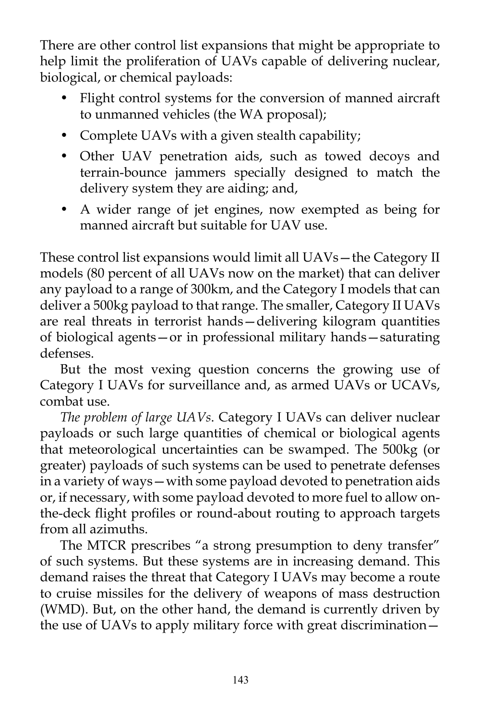There are other control list expansions that might be appropriate to help limit the proliferation of UAVs capable of delivering nuclear, biological, or chemical payloads:

- Flight control systems for the conversion of manned aircraft to unmanned vehicles (the WA proposal);
- Complete UAVs with a given stealth capability;
- Other UAV penetration aids, such as towed decoys and terrain-bounce jammers specially designed to match the delivery system they are aiding; and,
- A wider range of jet engines, now exempted as being for manned aircraft but suitable for UAV use.

These control list expansions would limit all UAVs—the Category II models (80 percent of all UAVs now on the market) that can deliver any payload to a range of 300km, and the Category I models that can deliver a 500kg payload to that range. The smaller, Category II UAVs are real threats in terrorist hands—delivering kilogram quantities of biological agents—or in professional military hands—saturating defenses.

But the most vexing question concerns the growing use of Category I UAVs for surveillance and, as armed UAVs or UCAVs, combat use.

*The problem of large UAVs*. Category I UAVs can deliver nuclear payloads or such large quantities of chemical or biological agents that meteorological uncertainties can be swamped. The 500kg (or greater) payloads of such systems can be used to penetrate defenses in a variety of ways—with some payload devoted to penetration aids or, if necessary, with some payload devoted to more fuel to allow onthe-deck flight profiles or round-about routing to approach targets from all azimuths.

The MTCR prescribes "a strong presumption to deny transfer" of such systems. But these systems are in increasing demand. This demand raises the threat that Category I UAVs may become a route to cruise missiles for the delivery of weapons of mass destruction (WMD). But, on the other hand, the demand is currently driven by the use of UAVs to apply military force with great discrimination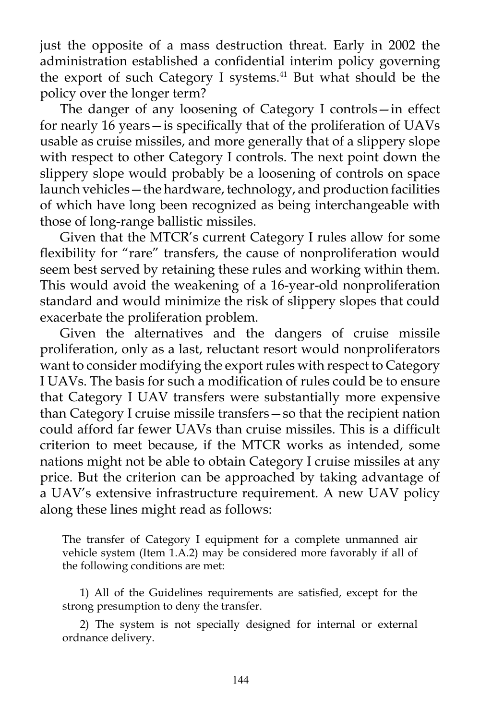just the opposite of a mass destruction threat. Early in 2002 the administration established a confidential interim policy governing the export of such Category I systems.<sup>41</sup> But what should be the policy over the longer term?

The danger of any loosening of Category I controls—in effect for nearly 16 years—is specifically that of the proliferation of UAVs usable as cruise missiles, and more generally that of a slippery slope with respect to other Category I controls. The next point down the slippery slope would probably be a loosening of controls on space launch vehicles—the hardware, technology, and production facilities of which have long been recognized as being interchangeable with those of long-range ballistic missiles.

Given that the MTCR's current Category I rules allow for some flexibility for "rare" transfers, the cause of nonproliferation would seem best served by retaining these rules and working within them. This would avoid the weakening of a 16-year-old nonproliferation standard and would minimize the risk of slippery slopes that could exacerbate the proliferation problem.

Given the alternatives and the dangers of cruise missile proliferation, only as a last, reluctant resort would nonproliferators want to consider modifying the export rules with respect to Category I UAVs. The basis for such a modification of rules could be to ensure that Category I UAV transfers were substantially more expensive than Category I cruise missile transfers—so that the recipient nation could afford far fewer UAVs than cruise missiles. This is a difficult criterion to meet because, if the MTCR works as intended, some nations might not be able to obtain Category I cruise missiles at any price. But the criterion can be approached by taking advantage of a UAV's extensive infrastructure requirement. A new UAV policy along these lines might read as follows:

The transfer of Category I equipment for a complete unmanned air vehicle system (Item 1.A.2) may be considered more favorably if all of the following conditions are met:

1) All of the Guidelines requirements are satisfied, except for the strong presumption to deny the transfer.

2) The system is not specially designed for internal or external ordnance delivery.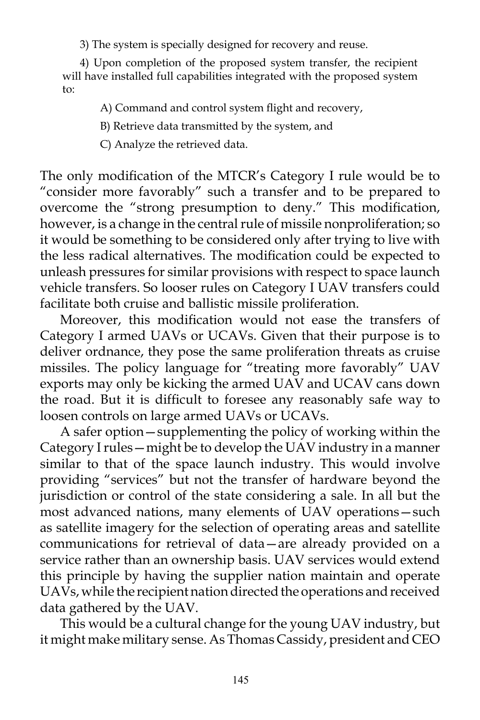3) The system is specially designed for recovery and reuse.

4) Upon completion of the proposed system transfer, the recipient will have installed full capabilities integrated with the proposed system to:

A) Command and control system flight and recovery,

B) Retrieve data transmitted by the system, and

C) Analyze the retrieved data.

The only modification of the MTCR's Category I rule would be to "consider more favorably" such a transfer and to be prepared to overcome the "strong presumption to deny." This modification, however, is a change in the central rule of missile nonproliferation; so it would be something to be considered only after trying to live with the less radical alternatives. The modification could be expected to unleash pressures for similar provisions with respect to space launch vehicle transfers. So looser rules on Category I UAV transfers could facilitate both cruise and ballistic missile proliferation.

Moreover, this modification would not ease the transfers of Category I armed UAVs or UCAVs. Given that their purpose is to deliver ordnance, they pose the same proliferation threats as cruise missiles. The policy language for "treating more favorably" UAV exports may only be kicking the armed UAV and UCAV cans down the road. But it is difficult to foresee any reasonably safe way to loosen controls on large armed UAVs or UCAVs.

A safer option—supplementing the policy of working within the Category I rules—might be to develop the UAV industry in a manner similar to that of the space launch industry. This would involve providing "services" but not the transfer of hardware beyond the jurisdiction or control of the state considering a sale. In all but the most advanced nations, many elements of UAV operations—such as satellite imagery for the selection of operating areas and satellite communications for retrieval of data—are already provided on a service rather than an ownership basis. UAV services would extend this principle by having the supplier nation maintain and operate UAVs, while the recipient nation directed the operations and received data gathered by the UAV.

This would be a cultural change for the young UAV industry, but it might make military sense. As Thomas Cassidy, president and CEO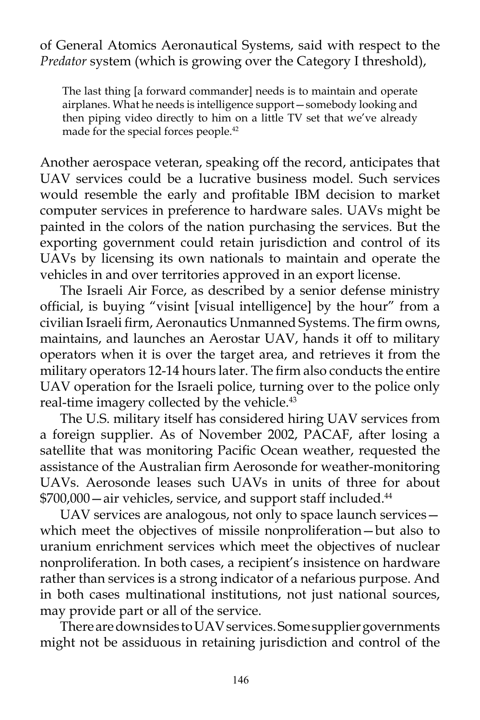of General Atomics Aeronautical Systems, said with respect to the *Predator* system (which is growing over the Category I threshold),

The last thing [a forward commander] needs is to maintain and operate airplanes. What he needs is intelligence support—somebody looking and then piping video directly to him on a little TV set that we've already made for the special forces people.<sup>42</sup>

Another aerospace veteran, speaking off the record, anticipates that UAV services could be a lucrative business model. Such services would resemble the early and profitable IBM decision to market computer services in preference to hardware sales. UAVs might be painted in the colors of the nation purchasing the services. But the exporting government could retain jurisdiction and control of its UAVs by licensing its own nationals to maintain and operate the vehicles in and over territories approved in an export license.

The Israeli Air Force, as described by a senior defense ministry official, is buying "visint [visual intelligence] by the hour" from a civilian Israeli firm, Aeronautics Unmanned Systems. The firm owns, maintains, and launches an Aerostar UAV, hands it off to military operators when it is over the target area, and retrieves it from the military operators 12-14 hours later. The firm also conducts the entire UAV operation for the Israeli police, turning over to the police only real-time imagery collected by the vehicle.<sup>43</sup>

The U.S. military itself has considered hiring UAV services from a foreign supplier. As of November 2002, PACAF, after losing a satellite that was monitoring Pacific Ocean weather, requested the assistance of the Australian firm Aerosonde for weather-monitoring UAVs. Aerosonde leases such UAVs in units of three for about \$700,000—air vehicles, service, and support staff included.44

UAV services are analogous, not only to space launch services which meet the objectives of missile nonproliferation—but also to uranium enrichment services which meet the objectives of nuclear nonproliferation. In both cases, a recipient's insistence on hardware rather than services is a strong indicator of a nefarious purpose. And in both cases multinational institutions, not just national sources, may provide part or all of the service.

There are downsides to UAV services. Some supplier governments might not be assiduous in retaining jurisdiction and control of the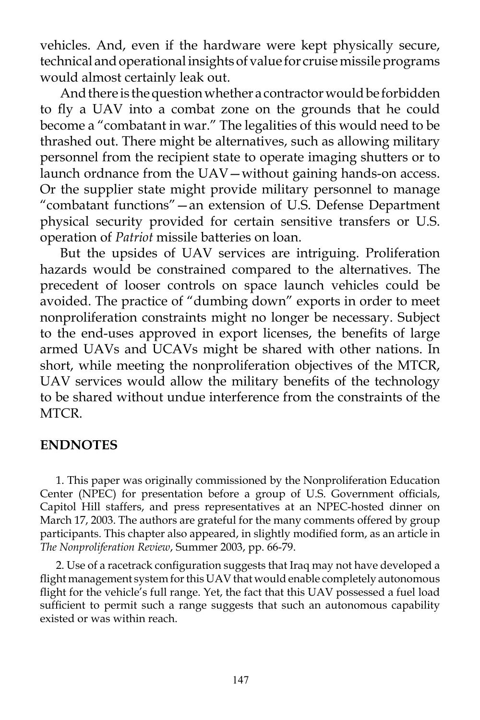vehicles. And, even if the hardware were kept physically secure, technical and operational insights of value for cruise missile programs would almost certainly leak out.

And there is the question whether a contractor would be forbidden to fly a UAV into a combat zone on the grounds that he could become a "combatant in war." The legalities of this would need to be thrashed out. There might be alternatives, such as allowing military personnel from the recipient state to operate imaging shutters or to launch ordnance from the UAV—without gaining hands-on access. Or the supplier state might provide military personnel to manage "combatant functions"—an extension of U.S. Defense Department physical security provided for certain sensitive transfers or U.S. operation of *Patriot* missile batteries on loan.

But the upsides of UAV services are intriguing. Proliferation hazards would be constrained compared to the alternatives. The precedent of looser controls on space launch vehicles could be avoided. The practice of "dumbing down" exports in order to meet nonproliferation constraints might no longer be necessary. Subject to the end-uses approved in export licenses, the benefits of large armed UAVs and UCAVs might be shared with other nations. In short, while meeting the nonproliferation objectives of the MTCR, UAV services would allow the military benefits of the technology to be shared without undue interference from the constraints of the MTCR.

## **ENDNOTES**

1. This paper was originally commissioned by the Nonproliferation Education Center (NPEC) for presentation before a group of U.S. Government officials, Capitol Hill staffers, and press representatives at an NPEC-hosted dinner on March 17, 2003. The authors are grateful for the many comments offered by group participants. This chapter also appeared, in slightly modified form, as an article in *The Nonproliferation Review*, Summer 2003, pp. 66-79.

2. Use of a racetrack configuration suggests that Iraq may not have developed a flight management system for this UAV that would enable completely autonomous flight for the vehicle's full range. Yet, the fact that this UAV possessed a fuel load sufficient to permit such a range suggests that such an autonomous capability existed or was within reach.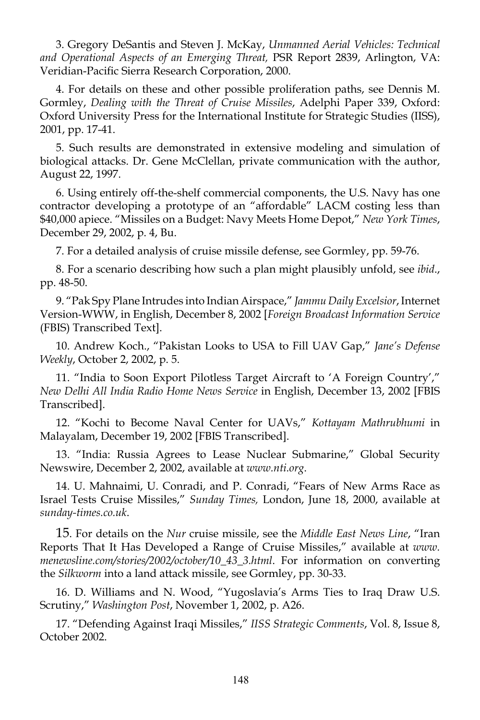3. Gregory DeSantis and Steven J. McKay, *Unmanned Aerial Vehicles: Technical and Operational Aspects of an Emerging Threat,* PSR Report 2839, Arlington, VA: Veridian-Pacific Sierra Research Corporation, 2000.

4. For details on these and other possible proliferation paths, see Dennis M. Gormley, *Dealing with the Threat of Cruise Missiles*, Adelphi Paper 339, Oxford: Oxford University Press for the International Institute for Strategic Studies (IISS), 2001, pp. 17-41.

5. Such results are demonstrated in extensive modeling and simulation of biological attacks. Dr. Gene McClellan, private communication with the author, August 22, 1997.

6. Using entirely off-the-shelf commercial components, the U.S. Navy has one contractor developing a prototype of an "affordable" LACM costing less than \$40,000 apiece. "Missiles on a Budget: Navy Meets Home Depot," *New York Times*, December 29, 2002, p. 4, Bu.

7. For a detailed analysis of cruise missile defense, see Gormley, pp. 59-76.

8. For a scenario describing how such a plan might plausibly unfold, see *ibid*., pp. 48-50.

9. "Pak Spy Plane Intrudes into Indian Airspace," *Jammu Daily Excelsior*, Internet Version-WWW, in English, December 8, 2002 [*Foreign Broadcast Information Service* (FBIS) Transcribed Text].

10. Andrew Koch., "Pakistan Looks to USA to Fill UAV Gap," *Jane's Defense Weekly*, October 2, 2002, p. 5.

11. "India to Soon Export Pilotless Target Aircraft to 'A Foreign Country'," *New Delhi All India Radio Home News Service* in English, December 13, 2002 [FBIS Transcribed].

12. "Kochi to Become Naval Center for UAVs," *Kottayam Mathrubhumi* in Malayalam, December 19, 2002 [FBIS Transcribed].

13. "India: Russia Agrees to Lease Nuclear Submarine," Global Security Newswire, December 2, 2002, available at *www.nti.org*.

14. U. Mahnaimi, U. Conradi, and P. Conradi, "Fears of New Arms Race as Israel Tests Cruise Missiles," *Sunday Times,* London, June 18, 2000, available at *sunday-times.co.uk*.

15. For details on the *Nur* cruise missile, see the *Middle East News Line*, "Iran Reports That It Has Developed a Range of Cruise Missiles," available at *www. menewsline.com/stories/2002/october/10\_43\_3.html*. For information on converting the *Silkworm* into a land attack missile, see Gormley, pp. 30-33.

16. D. Williams and N. Wood, "Yugoslavia's Arms Ties to Iraq Draw U.S. Scrutiny," *Washington Post*, November 1, 2002, p. A26.

17. "Defending Against Iraqi Missiles," *IISS Strategic Comments*, Vol. 8, Issue 8, October 2002.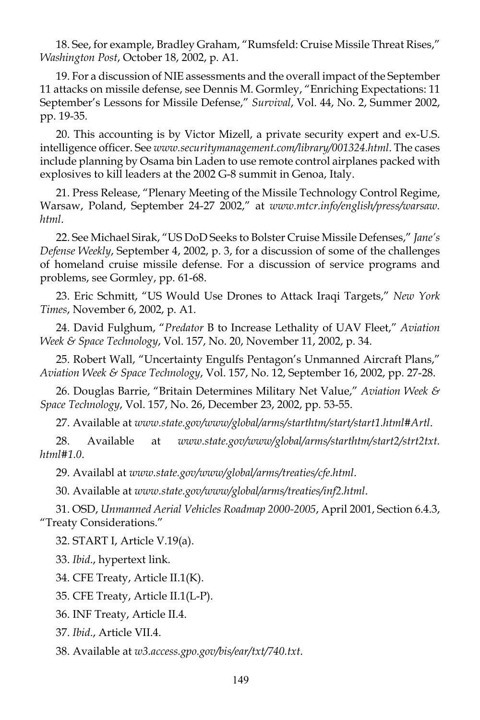18. See, for example, Bradley Graham, "Rumsfeld: Cruise Missile Threat Rises," *Washington Post*, October 18, 2002, p. A1.

19. For a discussion of NIE assessments and the overall impact of the September 11 attacks on missile defense, see Dennis M. Gormley, "Enriching Expectations: 11 September's Lessons for Missile Defense," *Survival*, Vol. 44, No. 2, Summer 2002, pp. 19-35.

20. This accounting is by Victor Mizell, a private security expert and ex-U.S. intelligence officer. See *www.securitymanagement.com/library/001324.html*. The cases include planning by Osama bin Laden to use remote control airplanes packed with explosives to kill leaders at the 2002 G-8 summit in Genoa, Italy.

21. Press Release, "Plenary Meeting of the Missile Technology Control Regime, Warsaw, Poland, September 24-27 2002," at *www.mtcr.info/english/press/warsaw. html*.

22. See Michael Sirak, "US DoD Seeks to Bolster Cruise Missile Defenses," *Jane's Defense Weekly*, September 4, 2002, p. 3, for a discussion of some of the challenges of homeland cruise missile defense. For a discussion of service programs and problems, see Gormley, pp. 61-68.

23. Eric Schmitt, "US Would Use Drones to Attack Iraqi Targets," *New York Times*, November 6, 2002, p. A1.

24. David Fulghum, "*Predator* B to Increase Lethality of UAV Fleet," *Aviation Week & Space Technology*, Vol. 157, No. 20, November 11, 2002, p. 34.

25. Robert Wall, "Uncertainty Engulfs Pentagon's Unmanned Aircraft Plans," *Aviation Week & Space Technology*, Vol. 157, No. 12, September 16, 2002, pp. 27-28.

26. Douglas Barrie, "Britain Determines Military Net Value," *Aviation Week & Space Technology*, Vol. 157, No. 26, December 23, 2002, pp. 53-55.

27. Available at *www.state.gov/www/global/arms/starthtm/start/start1.html#Artl*.

28. Available at *www.state.gov/www/global/arms/starthtm/start2/strt2txt. html#1.0*.

29. Availabl at *www.state.gov/www/global/arms/treaties/cfe.html*.

30. Available at *www.state.gov/www/global/arms/treaties/inf2.html*.

31. OSD, *Unmanned Aerial Vehicles Roadmap 2000-2005*, April 2001, Section 6.4.3, "Treaty Considerations."

32. START I, Article V.19(a).

33. *Ibid*., hypertext link.

34. CFE Treaty, Article II.1(K).

35. CFE Treaty, Article II.1(L-P).

36. INF Treaty, Article II.4.

37. *Ibid*., Article VII.4.

38. Available at *w3.access.gpo.gov/bis/ear/txt/740.txt*.